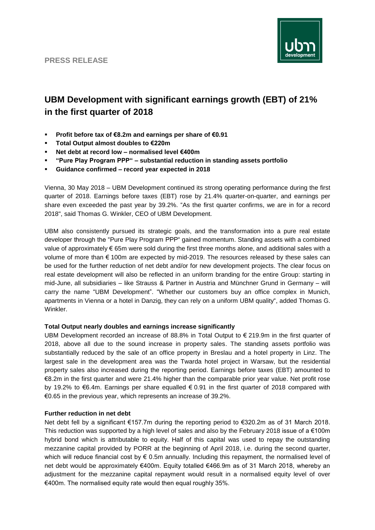

# **UBM Development with significant earnings growth (EBT) of 21% in the first quarter of 2018**

- **Profit before tax of €8.2m and earnings per share of €0.91**
- **Total Output almost doubles to €220m**
- **Net debt at record low – normalised level €400m**
- **"Pure Play Program PPP" – substantial reduction in standing assets portfolio**
- **Guidance confirmed – record year expected in 2018**

Vienna, 30 May 2018 – UBM Development continued its strong operating performance during the first quarter of 2018. Earnings before taxes (EBT) rose by 21.4% quarter-on-quarter, and earnings per share even exceeded the past year by 39.2%. "As the first quarter confirms, we are in for a record 2018", said Thomas G. Winkler, CEO of UBM Development.

UBM also consistently pursued its strategic goals, and the transformation into a pure real estate developer through the "Pure Play Program PPP" gained momentum. Standing assets with a combined value of approximately € 65m were sold during the first three months alone, and additional sales with a volume of more than € 100m are expected by mid-2019. The resources released by these sales can be used for the further reduction of net debt and/or for new development projects. The clear focus on real estate development will also be reflected in an uniform branding for the entire Group: starting in mid-June, all subsidiaries – like Strauss & Partner in Austria and Münchner Grund in Germany – will carry the name "UBM Development". "Whether our customers buy an office complex in Munich, apartments in Vienna or a hotel in Danzig, they can rely on a uniform UBM quality", added Thomas G. Winkler.

## **Total Output nearly doubles and earnings increase significantly**

UBM Development recorded an increase of 88.8% in Total Output to € 219.9m in the first quarter of 2018, above all due to the sound increase in property sales. The standing assets portfolio was substantially reduced by the sale of an office property in Breslau and a hotel property in Linz. The largest sale in the development area was the Twarda hotel project in Warsaw, but the residential property sales also increased during the reporting period. Earnings before taxes (EBT) amounted to €8.2m in the first quarter and were 21.4% higher than the comparable prior year value. Net profit rose by 19.2% to €6.4m. Earnings per share equalled € 0.91 in the first quarter of 2018 compared with €0.65 in the previous year, which represents an increase of 39.2%.

## **Further reduction in net debt**

Net debt fell by a significant €157.7m during the reporting period to €320.2m as of 31 March 2018. This reduction was supported by a high level of sales and also by the February 2018 issue of a  $\epsilon$ 100m hybrid bond which is attributable to equity. Half of this capital was used to repay the outstanding mezzanine capital provided by PORR at the beginning of April 2018, i.e. during the second quarter, which will reduce financial cost by € 0.5m annually. Including this repayment, the normalised level of net debt would be approximately €400m. Equity totalled €466.9m as of 31 March 2018, whereby an adjustment for the mezzanine capital repayment would result in a normalised equity level of over €400m. The normalised equity rate would then equal roughly 35%.